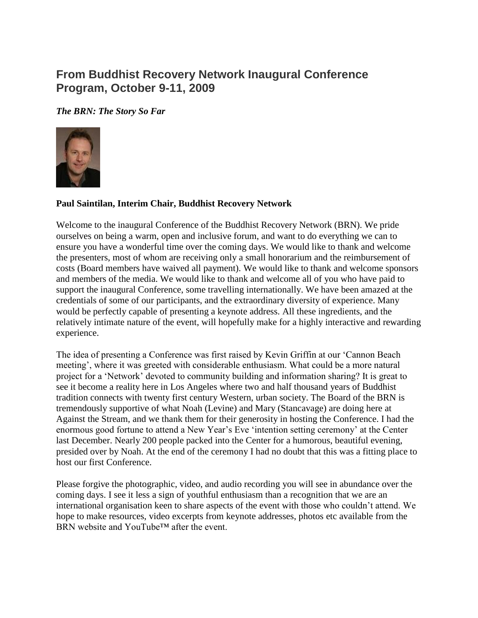# **From Buddhist Recovery Network Inaugural Conference Program, October 9-11, 2009**

*The BRN: The Story So Far*



### **Paul Saintilan, Interim Chair, Buddhist Recovery Network**

Welcome to the inaugural Conference of the Buddhist Recovery Network (BRN). We pride ourselves on being a warm, open and inclusive forum, and want to do everything we can to ensure you have a wonderful time over the coming days. We would like to thank and welcome the presenters, most of whom are receiving only a small honorarium and the reimbursement of costs (Board members have waived all payment). We would like to thank and welcome sponsors and members of the media. We would like to thank and welcome all of you who have paid to support the inaugural Conference, some travelling internationally. We have been amazed at the credentials of some of our participants, and the extraordinary diversity of experience. Many would be perfectly capable of presenting a keynote address. All these ingredients, and the relatively intimate nature of the event, will hopefully make for a highly interactive and rewarding experience.

The idea of presenting a Conference was first raised by Kevin Griffin at our 'Cannon Beach meeting', where it was greeted with considerable enthusiasm. What could be a more natural project for a 'Network' devoted to community building and information sharing? It is great to see it become a reality here in Los Angeles where two and half thousand years of Buddhist tradition connects with twenty first century Western, urban society. The Board of the BRN is tremendously supportive of what Noah (Levine) and Mary (Stancavage) are doing here at Against the Stream, and we thank them for their generosity in hosting the Conference. I had the enormous good fortune to attend a New Year's Eve 'intention setting ceremony' at the Center last December. Nearly 200 people packed into the Center for a humorous, beautiful evening, presided over by Noah. At the end of the ceremony I had no doubt that this was a fitting place to host our first Conference.

Please forgive the photographic, video, and audio recording you will see in abundance over the coming days. I see it less a sign of youthful enthusiasm than a recognition that we are an international organisation keen to share aspects of the event with those who couldn't attend. We hope to make resources, video excerpts from keynote addresses, photos etc available from the BRN website and YouTube™ after the event.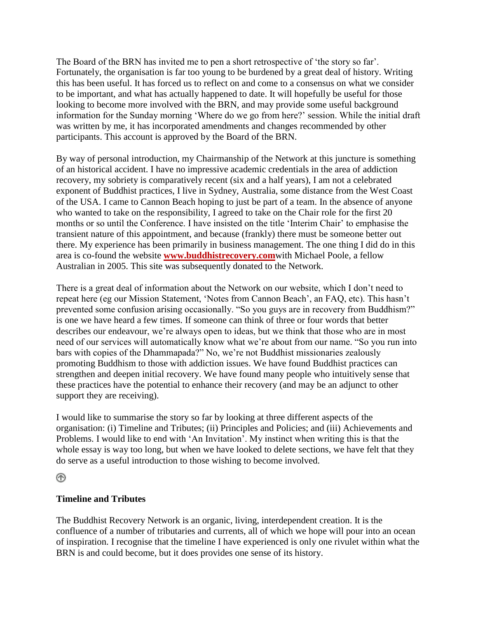The Board of the BRN has invited me to pen a short retrospective of 'the story so far'. Fortunately, the organisation is far too young to be burdened by a great deal of history. Writing this has been useful. It has forced us to reflect on and come to a consensus on what we consider to be important, and what has actually happened to date. It will hopefully be useful for those looking to become more involved with the BRN, and may provide some useful background information for the Sunday morning 'Where do we go from here?' session. While the initial draft was written by me, it has incorporated amendments and changes recommended by other participants. This account is approved by the Board of the BRN.

By way of personal introduction, my Chairmanship of the Network at this juncture is something of an historical accident. I have no impressive academic credentials in the area of addiction recovery, my sobriety is comparatively recent (six and a half years), I am not a celebrated exponent of Buddhist practices, I live in Sydney, Australia, some distance from the West Coast of the USA. I came to Cannon Beach hoping to just be part of a team. In the absence of anyone who wanted to take on the responsibility, I agreed to take on the Chair role for the first 20 months or so until the Conference. I have insisted on the title 'Interim Chair' to emphasise the transient nature of this appointment, and because (frankly) there must be someone better out there. My experience has been primarily in business management. The one thing I did do in this area is co-found the website **[www.buddhistrecovery.com](http://www.buddhistrecovery.org/)**with Michael Poole, a fellow Australian in 2005. This site was subsequently donated to the Network.

There is a great deal of information about the Network on our website, which I don't need to repeat here (eg our Mission Statement, 'Notes from Cannon Beach', an FAQ, etc). This hasn't prevented some confusion arising occasionally. "So you guys are in recovery from Buddhism?" is one we have heard a few times. If someone can think of three or four words that better describes our endeavour, we're always open to ideas, but we think that those who are in most need of our services will automatically know what we're about from our name. "So you run into bars with copies of the Dhammapada?" No, we're not Buddhist missionaries zealously promoting Buddhism to those with addiction issues. We have found Buddhist practices can strengthen and deepen initial recovery. We have found many people who intuitively sense that these practices have the potential to enhance their recovery (and may be an adjunct to other support they are receiving).

I would like to summarise the story so far by looking at three different aspects of the organisation: (i) Timeline and Tributes; (ii) Principles and Policies; and (iii) Achievements and Problems. I would like to end with 'An Invitation'. My instinct when writing this is that the whole essay is way too long, but when we have looked to delete sections, we have felt that they do serve as a useful introduction to those wishing to become involved.

# ⊛

# **Timeline and Tributes**

The Buddhist Recovery Network is an organic, living, interdependent creation. It is the confluence of a number of tributaries and currents, all of which we hope will pour into an ocean of inspiration. I recognise that the timeline I have experienced is only one rivulet within what the BRN is and could become, but it does provides one sense of its history.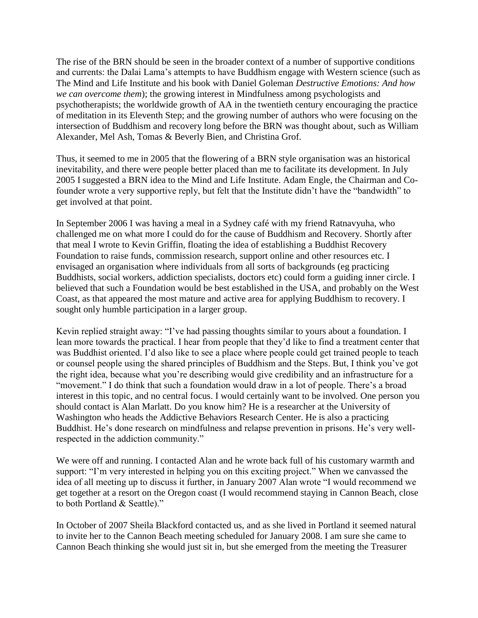The rise of the BRN should be seen in the broader context of a number of supportive conditions and currents: the Dalai Lama's attempts to have Buddhism engage with Western science (such as The Mind and Life Institute and his book with Daniel Goleman *Destructive Emotions: And how we can overcome them*); the growing interest in Mindfulness among psychologists and psychotherapists; the worldwide growth of AA in the twentieth century encouraging the practice of meditation in its Eleventh Step; and the growing number of authors who were focusing on the intersection of Buddhism and recovery long before the BRN was thought about, such as William Alexander, Mel Ash, Tomas & Beverly Bien, and Christina Grof.

Thus, it seemed to me in 2005 that the flowering of a BRN style organisation was an historical inevitability, and there were people better placed than me to facilitate its development. In July 2005 I suggested a BRN idea to the Mind and Life Institute. Adam Engle, the Chairman and Cofounder wrote a very supportive reply, but felt that the Institute didn't have the "bandwidth" to get involved at that point.

In September 2006 I was having a meal in a Sydney café with my friend Ratnavyuha, who challenged me on what more I could do for the cause of Buddhism and Recovery. Shortly after that meal I wrote to Kevin Griffin, floating the idea of establishing a Buddhist Recovery Foundation to raise funds, commission research, support online and other resources etc. I envisaged an organisation where individuals from all sorts of backgrounds (eg practicing Buddhists, social workers, addiction specialists, doctors etc) could form a guiding inner circle. I believed that such a Foundation would be best established in the USA, and probably on the West Coast, as that appeared the most mature and active area for applying Buddhism to recovery. I sought only humble participation in a larger group.

Kevin replied straight away: "I've had passing thoughts similar to yours about a foundation. I lean more towards the practical. I hear from people that they'd like to find a treatment center that was Buddhist oriented. I'd also like to see a place where people could get trained people to teach or counsel people using the shared principles of Buddhism and the Steps. But, I think you've got the right idea, because what you're describing would give credibility and an infrastructure for a "movement." I do think that such a foundation would draw in a lot of people. There's a broad interest in this topic, and no central focus. I would certainly want to be involved. One person you should contact is Alan Marlatt. Do you know him? He is a researcher at the University of Washington who heads the Addictive Behaviors Research Center. He is also a practicing Buddhist. He's done research on mindfulness and relapse prevention in prisons. He's very wellrespected in the addiction community."

We were off and running. I contacted Alan and he wrote back full of his customary warmth and support: "I'm very interested in helping you on this exciting project." When we canvassed the idea of all meeting up to discuss it further, in January 2007 Alan wrote "I would recommend we get together at a resort on the Oregon coast (I would recommend staying in Cannon Beach, close to both Portland & Seattle)."

In October of 2007 Sheila Blackford contacted us, and as she lived in Portland it seemed natural to invite her to the Cannon Beach meeting scheduled for January 2008. I am sure she came to Cannon Beach thinking she would just sit in, but she emerged from the meeting the Treasurer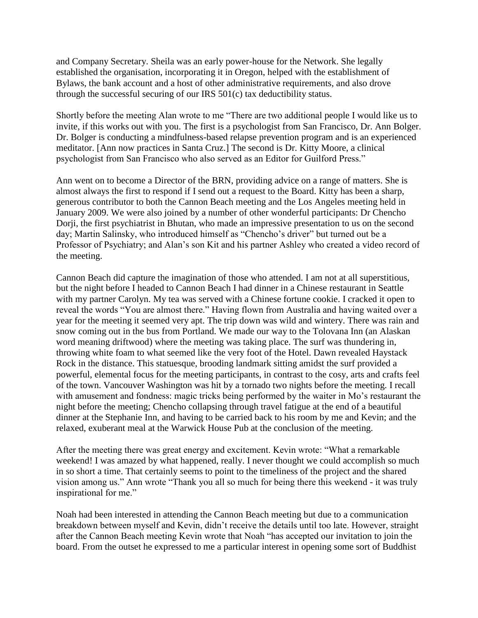and Company Secretary. Sheila was an early power-house for the Network. She legally established the organisation, incorporating it in Oregon, helped with the establishment of Bylaws, the bank account and a host of other administrative requirements, and also drove through the successful securing of our IRS 501(c) tax deductibility status.

Shortly before the meeting Alan wrote to me "There are two additional people I would like us to invite, if this works out with you. The first is a psychologist from San Francisco, Dr. Ann Bolger. Dr. Bolger is conducting a mindfulness-based relapse prevention program and is an experienced meditator. [Ann now practices in Santa Cruz.] The second is Dr. Kitty Moore, a clinical psychologist from San Francisco who also served as an Editor for Guilford Press."

Ann went on to become a Director of the BRN, providing advice on a range of matters. She is almost always the first to respond if I send out a request to the Board. Kitty has been a sharp, generous contributor to both the Cannon Beach meeting and the Los Angeles meeting held in January 2009. We were also joined by a number of other wonderful participants: Dr Chencho Dorji, the first psychiatrist in Bhutan, who made an impressive presentation to us on the second day; Martin Salinsky, who introduced himself as "Chencho's driver" but turned out be a Professor of Psychiatry; and Alan's son Kit and his partner Ashley who created a video record of the meeting.

Cannon Beach did capture the imagination of those who attended. I am not at all superstitious, but the night before I headed to Cannon Beach I had dinner in a Chinese restaurant in Seattle with my partner Carolyn. My tea was served with a Chinese fortune cookie. I cracked it open to reveal the words "You are almost there." Having flown from Australia and having waited over a year for the meeting it seemed very apt. The trip down was wild and wintery. There was rain and snow coming out in the bus from Portland. We made our way to the Tolovana Inn (an Alaskan word meaning driftwood) where the meeting was taking place. The surf was thundering in, throwing white foam to what seemed like the very foot of the Hotel. Dawn revealed Haystack Rock in the distance. This statuesque, brooding landmark sitting amidst the surf provided a powerful, elemental focus for the meeting participants, in contrast to the cosy, arts and crafts feel of the town. Vancouver Washington was hit by a tornado two nights before the meeting. I recall with amusement and fondness: magic tricks being performed by the waiter in Mo's restaurant the night before the meeting; Chencho collapsing through travel fatigue at the end of a beautiful dinner at the Stephanie Inn, and having to be carried back to his room by me and Kevin; and the relaxed, exuberant meal at the Warwick House Pub at the conclusion of the meeting.

After the meeting there was great energy and excitement. Kevin wrote: "What a remarkable weekend! I was amazed by what happened, really. I never thought we could accomplish so much in so short a time. That certainly seems to point to the timeliness of the project and the shared vision among us." Ann wrote "Thank you all so much for being there this weekend - it was truly inspirational for me."

Noah had been interested in attending the Cannon Beach meeting but due to a communication breakdown between myself and Kevin, didn't receive the details until too late. However, straight after the Cannon Beach meeting Kevin wrote that Noah "has accepted our invitation to join the board. From the outset he expressed to me a particular interest in opening some sort of Buddhist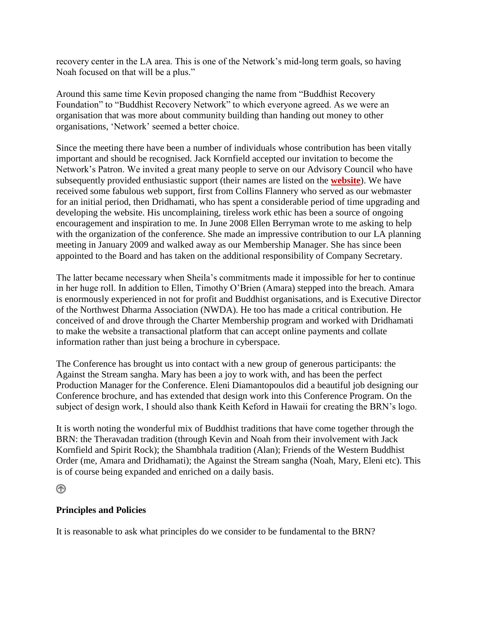recovery center in the LA area. This is one of the Network's mid-long term goals, so having Noah focused on that will be a plus."

Around this same time Kevin proposed changing the name from "Buddhist Recovery Foundation" to "Buddhist Recovery Network" to which everyone agreed. As we were an organisation that was more about community building than handing out money to other organisations, 'Network' seemed a better choice.

Since the meeting there have been a number of individuals whose contribution has been vitally important and should be recognised. Jack Kornfield accepted our invitation to become the Network's Patron. We invited a great many people to serve on our Advisory Council who have subsequently provided enthusiastic support (their names are listed on the **[website](http://www.buddhistrecovery.org/about.htm#Acknowledgements)**). We have received some fabulous web support, first from Collins Flannery who served as our webmaster for an initial period, then Dridhamati, who has spent a considerable period of time upgrading and developing the website. His uncomplaining, tireless work ethic has been a source of ongoing encouragement and inspiration to me. In June 2008 Ellen Berryman wrote to me asking to help with the organization of the conference. She made an impressive contribution to our LA planning meeting in January 2009 and walked away as our Membership Manager. She has since been appointed to the Board and has taken on the additional responsibility of Company Secretary.

The latter became necessary when Sheila's commitments made it impossible for her to continue in her huge roll. In addition to Ellen, Timothy O'Brien (Amara) stepped into the breach. Amara is enormously experienced in not for profit and Buddhist organisations, and is Executive Director of the Northwest Dharma Association (NWDA). He too has made a critical contribution. He conceived of and drove through the Charter Membership program and worked with Dridhamati to make the website a transactional platform that can accept online payments and collate information rather than just being a brochure in cyberspace.

The Conference has brought us into contact with a new group of generous participants: the Against the Stream sangha. Mary has been a joy to work with, and has been the perfect Production Manager for the Conference. Eleni Diamantopoulos did a beautiful job designing our Conference brochure, and has extended that design work into this Conference Program. On the subject of design work, I should also thank Keith Keford in Hawaii for creating the BRN's logo.

It is worth noting the wonderful mix of Buddhist traditions that have come together through the BRN: the Theravadan tradition (through Kevin and Noah from their involvement with Jack Kornfield and Spirit Rock); the Shambhala tradition (Alan); Friends of the Western Buddhist Order (me, Amara and Dridhamati); the Against the Stream sangha (Noah, Mary, Eleni etc). This is of course being expanded and enriched on a daily basis.

# ⊛

# **Principles and Policies**

It is reasonable to ask what principles do we consider to be fundamental to the BRN?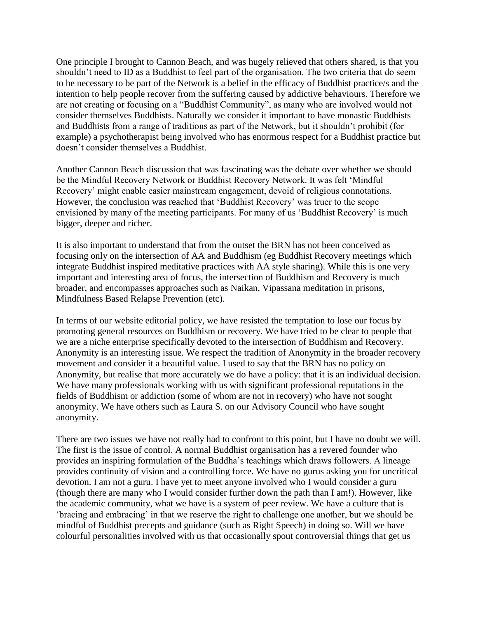One principle I brought to Cannon Beach, and was hugely relieved that others shared, is that you shouldn't need to ID as a Buddhist to feel part of the organisation. The two criteria that do seem to be necessary to be part of the Network is a belief in the efficacy of Buddhist practice/s and the intention to help people recover from the suffering caused by addictive behaviours. Therefore we are not creating or focusing on a "Buddhist Community", as many who are involved would not consider themselves Buddhists. Naturally we consider it important to have monastic Buddhists and Buddhists from a range of traditions as part of the Network, but it shouldn't prohibit (for example) a psychotherapist being involved who has enormous respect for a Buddhist practice but doesn't consider themselves a Buddhist.

Another Cannon Beach discussion that was fascinating was the debate over whether we should be the Mindful Recovery Network or Buddhist Recovery Network. It was felt 'Mindful Recovery' might enable easier mainstream engagement, devoid of religious connotations. However, the conclusion was reached that 'Buddhist Recovery' was truer to the scope envisioned by many of the meeting participants. For many of us 'Buddhist Recovery' is much bigger, deeper and richer.

It is also important to understand that from the outset the BRN has not been conceived as focusing only on the intersection of AA and Buddhism (eg Buddhist Recovery meetings which integrate Buddhist inspired meditative practices with AA style sharing). While this is one very important and interesting area of focus, the intersection of Buddhism and Recovery is much broader, and encompasses approaches such as Naikan, Vipassana meditation in prisons, Mindfulness Based Relapse Prevention (etc).

In terms of our website editorial policy, we have resisted the temptation to lose our focus by promoting general resources on Buddhism or recovery. We have tried to be clear to people that we are a niche enterprise specifically devoted to the intersection of Buddhism and Recovery. Anonymity is an interesting issue. We respect the tradition of Anonymity in the broader recovery movement and consider it a beautiful value. I used to say that the BRN has no policy on Anonymity, but realise that more accurately we do have a policy: that it is an individual decision. We have many professionals working with us with significant professional reputations in the fields of Buddhism or addiction (some of whom are not in recovery) who have not sought anonymity. We have others such as Laura S. on our Advisory Council who have sought anonymity.

There are two issues we have not really had to confront to this point, but I have no doubt we will. The first is the issue of control. A normal Buddhist organisation has a revered founder who provides an inspiring formulation of the Buddha's teachings which draws followers. A lineage provides continuity of vision and a controlling force. We have no gurus asking you for uncritical devotion. I am not a guru. I have yet to meet anyone involved who I would consider a guru (though there are many who I would consider further down the path than I am!). However, like the academic community, what we have is a system of peer review. We have a culture that is 'bracing and embracing' in that we reserve the right to challenge one another, but we should be mindful of Buddhist precepts and guidance (such as Right Speech) in doing so. Will we have colourful personalities involved with us that occasionally spout controversial things that get us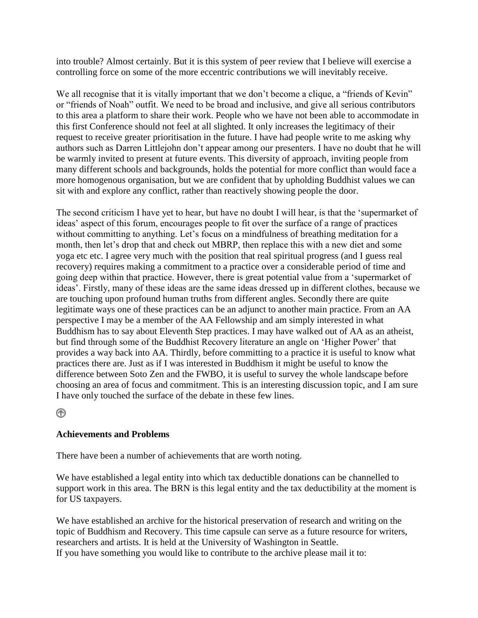into trouble? Almost certainly. But it is this system of peer review that I believe will exercise a controlling force on some of the more eccentric contributions we will inevitably receive.

We all recognise that it is vitally important that we don't become a clique, a "friends of Kevin" or "friends of Noah" outfit. We need to be broad and inclusive, and give all serious contributors to this area a platform to share their work. People who we have not been able to accommodate in this first Conference should not feel at all slighted. It only increases the legitimacy of their request to receive greater prioritisation in the future. I have had people write to me asking why authors such as Darren Littlejohn don't appear among our presenters. I have no doubt that he will be warmly invited to present at future events. This diversity of approach, inviting people from many different schools and backgrounds, holds the potential for more conflict than would face a more homogenous organisation, but we are confident that by upholding Buddhist values we can sit with and explore any conflict, rather than reactively showing people the door.

The second criticism I have yet to hear, but have no doubt I will hear, is that the 'supermarket of ideas' aspect of this forum, encourages people to fit over the surface of a range of practices without committing to anything. Let's focus on a mindfulness of breathing meditation for a month, then let's drop that and check out MBRP, then replace this with a new diet and some yoga etc etc. I agree very much with the position that real spiritual progress (and I guess real recovery) requires making a commitment to a practice over a considerable period of time and going deep within that practice. However, there is great potential value from a 'supermarket of ideas'. Firstly, many of these ideas are the same ideas dressed up in different clothes, because we are touching upon profound human truths from different angles. Secondly there are quite legitimate ways one of these practices can be an adjunct to another main practice. From an AA perspective I may be a member of the AA Fellowship and am simply interested in what Buddhism has to say about Eleventh Step practices. I may have walked out of AA as an atheist, but find through some of the Buddhist Recovery literature an angle on 'Higher Power' that provides a way back into AA. Thirdly, before committing to a practice it is useful to know what practices there are. Just as if I was interested in Buddhism it might be useful to know the difference between Soto Zen and the FWBO, it is useful to survey the whole landscape before choosing an area of focus and commitment. This is an interesting discussion topic, and I am sure I have only touched the surface of the debate in these few lines.

⋒

# **Achievements and Problems**

There have been a number of achievements that are worth noting.

We have established a legal entity into which tax deductible donations can be channelled to support work in this area. The BRN is this legal entity and the tax deductibility at the moment is for US taxpayers.

We have established an archive for the historical preservation of research and writing on the topic of Buddhism and Recovery. This time capsule can serve as a future resource for writers, researchers and artists. It is held at the University of Washington in Seattle. If you have something you would like to contribute to the archive please mail it to: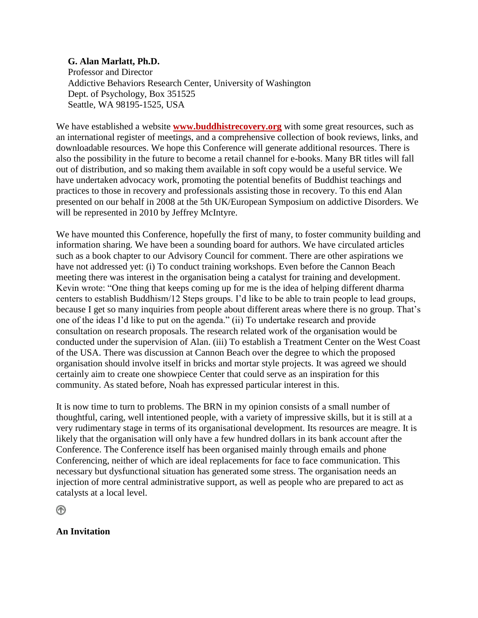### **G. Alan Marlatt, Ph.D.**

 Professor and Director Addictive Behaviors Research Center, University of Washington Dept. of Psychology, Box 351525 Seattle, WA 98195-1525, USA

We have established a website **[www.buddhistrecovery.org](http://www.buddhistrecovery.org/)** with some great resources, such as an international register of meetings, and a comprehensive collection of book reviews, links, and downloadable resources. We hope this Conference will generate additional resources. There is also the possibility in the future to become a retail channel for e-books. Many BR titles will fall out of distribution, and so making them available in soft copy would be a useful service. We have undertaken advocacy work, promoting the potential benefits of Buddhist teachings and practices to those in recovery and professionals assisting those in recovery. To this end Alan presented on our behalf in 2008 at the 5th UK/European Symposium on addictive Disorders. We will be represented in 2010 by Jeffrey McIntyre.

We have mounted this Conference, hopefully the first of many, to foster community building and information sharing. We have been a sounding board for authors. We have circulated articles such as a book chapter to our Advisory Council for comment. There are other aspirations we have not addressed yet: (i) To conduct training workshops. Even before the Cannon Beach meeting there was interest in the organisation being a catalyst for training and development. Kevin wrote: "One thing that keeps coming up for me is the idea of helping different dharma centers to establish Buddhism/12 Steps groups. I'd like to be able to train people to lead groups, because I get so many inquiries from people about different areas where there is no group. That's one of the ideas I'd like to put on the agenda." (ii) To undertake research and provide consultation on research proposals. The research related work of the organisation would be conducted under the supervision of Alan. (iii) To establish a Treatment Center on the West Coast of the USA. There was discussion at Cannon Beach over the degree to which the proposed organisation should involve itself in bricks and mortar style projects. It was agreed we should certainly aim to create one showpiece Center that could serve as an inspiration for this community. As stated before, Noah has expressed particular interest in this.

It is now time to turn to problems. The BRN in my opinion consists of a small number of thoughtful, caring, well intentioned people, with a variety of impressive skills, but it is still at a very rudimentary stage in terms of its organisational development. Its resources are meagre. It is likely that the organisation will only have a few hundred dollars in its bank account after the Conference. The Conference itself has been organised mainly through emails and phone Conferencing, neither of which are ideal replacements for face to face communication. This necessary but dysfunctional situation has generated some stress. The organisation needs an injection of more central administrative support, as well as people who are prepared to act as catalysts at a local level.

⋒

#### **An Invitation**